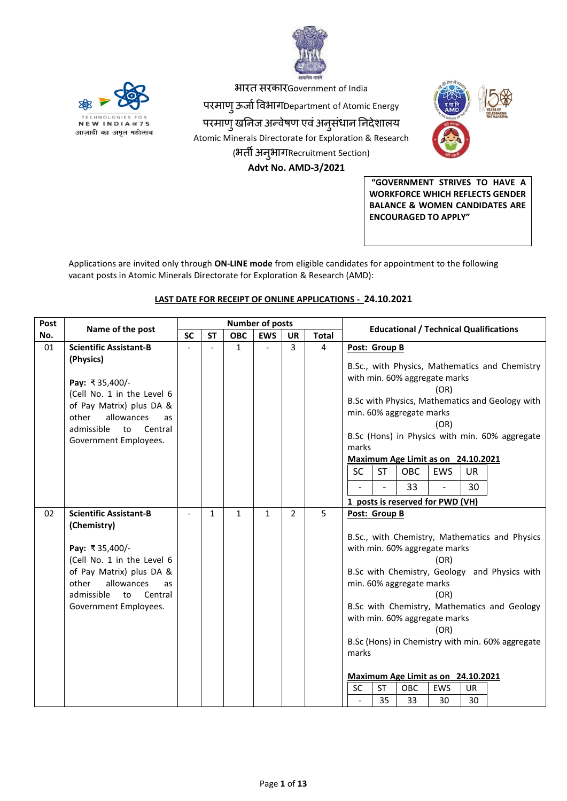



भारत सरकारGovernment of India

ऩरमाणुऊर्ााविभागDepartment of Atomic Energy

परमाण् खनिज अन्वेषण एवं अनुसंधान निदेशालय Atomic Minerals Directorate for Exploration & Research (भर्ती अन्*भागRecruitment Section*)  **Advt No. AMD-3/2021**



**"GOVERNMENT STRIVES TO HAVE A WORKFORCE WHICH REFLECTS GENDER BALANCE & WOMEN CANDIDATES ARE ENCOURAGED TO APPLY"**

Applications are invited only through **ON-LINE mode** from eligible candidates for appointment to the following vacant posts in Atomic Minerals Directorate for Exploration & Research (AMD):

# **LAST DATE FOR RECEIPT OF ONLINE APPLICATIONS - 24.10.2021**

| Post | Name of the post                                                                                                                                                                                              |           |              | <b>Number of posts</b> |                |                |              | <b>Educational / Technical Qualifications</b>                                                                                                                                                                                                                                                                                                                                                                                                                |  |
|------|---------------------------------------------------------------------------------------------------------------------------------------------------------------------------------------------------------------|-----------|--------------|------------------------|----------------|----------------|--------------|--------------------------------------------------------------------------------------------------------------------------------------------------------------------------------------------------------------------------------------------------------------------------------------------------------------------------------------------------------------------------------------------------------------------------------------------------------------|--|
| No.  |                                                                                                                                                                                                               | <b>SC</b> | <b>ST</b>    | <b>OBC</b>             | <b>EWS</b>     | <b>UR</b>      | <b>Total</b> |                                                                                                                                                                                                                                                                                                                                                                                                                                                              |  |
| 01   | <b>Scientific Assistant-B</b><br>(Physics)<br>Pay: ₹35,400/-<br>(Cell No. 1 in the Level 6<br>of Pay Matrix) plus DA &<br>other<br>allowances<br>as<br>admissible<br>to<br>Central<br>Government Employees.   |           |              | $\mathbf{1}$           | $\overline{a}$ | $\overline{3}$ | 4            | Post: Group B<br>B.Sc., with Physics, Mathematics and Chemistry<br>with min. 60% aggregate marks<br>(OR)<br>B.Sc with Physics, Mathematics and Geology with<br>min. 60% aggregate marks<br>(OR)<br>B.Sc (Hons) in Physics with min. 60% aggregate<br>marks<br>Maximum Age Limit as on 24.10.2021<br><b>SC</b><br><b>ST</b><br><b>OBC</b><br>EWS<br>UR<br>33<br>30<br>$\overline{a}$<br>1 posts is reserved for PWD (VH)                                      |  |
| 02   | <b>Scientific Assistant-B</b><br>(Chemistry)<br>Pay: ₹35,400/-<br>(Cell No. 1 in the Level 6<br>of Pay Matrix) plus DA &<br>other<br>allowances<br>as<br>admissible<br>Central<br>to<br>Government Employees. |           | $\mathbf{1}$ | $\mathbf{1}$           | $\mathbf{1}$   | $\overline{2}$ | 5            | Post: Group B<br>B.Sc., with Chemistry, Mathematics and Physics<br>with min. 60% aggregate marks<br>(OR)<br>B.Sc with Chemistry, Geology and Physics with<br>min. 60% aggregate marks<br>(OR)<br>B.Sc with Chemistry, Mathematics and Geology<br>with min. 60% aggregate marks<br>(OR)<br>B.Sc (Hons) in Chemistry with min. 60% aggregate<br>marks<br>Maximum Age Limit as on 24.10.2021<br><b>SC</b><br><b>ST</b><br><b>OBC</b><br><b>EWS</b><br><b>UR</b> |  |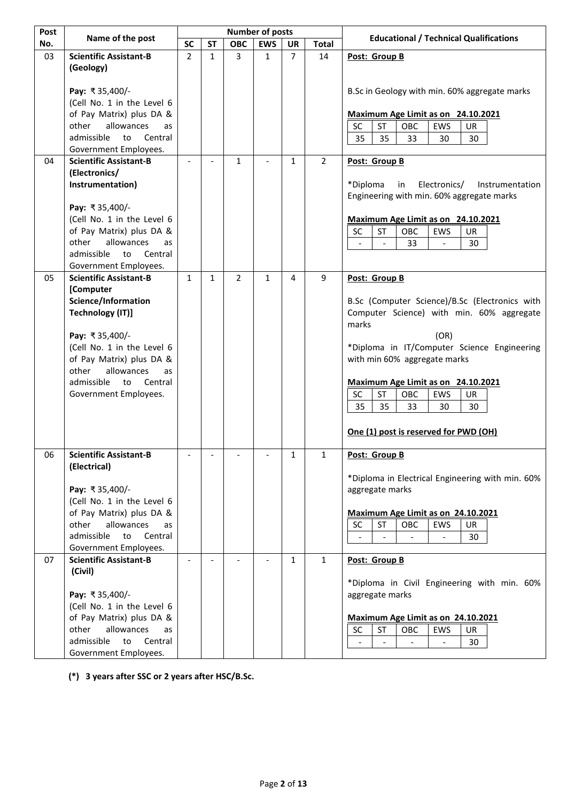| Post |                                                        |                |                          |                | <b>Number of posts</b>   |                |                |                                                   |
|------|--------------------------------------------------------|----------------|--------------------------|----------------|--------------------------|----------------|----------------|---------------------------------------------------|
| No.  | Name of the post                                       | <b>SC</b>      | <b>ST</b>                | <b>OBC</b>     | <b>EWS</b>               | <b>UR</b>      | <b>Total</b>   | <b>Educational / Technical Qualifications</b>     |
| 03   | <b>Scientific Assistant-B</b>                          | $\overline{2}$ | $\mathbf{1}$             | 3              | $\mathbf{1}$             | $\overline{7}$ | 14             | Post: Group B                                     |
|      | (Geology)                                              |                |                          |                |                          |                |                |                                                   |
|      |                                                        |                |                          |                |                          |                |                |                                                   |
|      | Pay: ₹35,400/-                                         |                |                          |                |                          |                |                | B.Sc in Geology with min. 60% aggregate marks     |
|      | (Cell No. 1 in the Level 6                             |                |                          |                |                          |                |                |                                                   |
|      | of Pay Matrix) plus DA &                               |                |                          |                |                          |                |                | Maximum Age Limit as on 24.10.2021                |
|      | allowances<br>other<br>as                              |                |                          |                |                          |                |                | <b>SC</b><br><b>ST</b><br>OBC<br>EWS<br><b>UR</b> |
|      | admissible<br>to<br>Central                            |                |                          |                |                          |                |                | 35<br>35<br>33<br>30<br>30                        |
| 04   | Government Employees.<br><b>Scientific Assistant-B</b> |                | $\overline{a}$           | $\mathbf{1}$   |                          | $\mathbf{1}$   | $\overline{2}$ | Post: Group B                                     |
|      | (Electronics/                                          |                |                          |                |                          |                |                |                                                   |
|      | Instrumentation)                                       |                |                          |                |                          |                |                | *Diploma<br>Electronics/<br>in<br>Instrumentation |
|      |                                                        |                |                          |                |                          |                |                | Engineering with min. 60% aggregate marks         |
|      | Pay: ₹35,400/-                                         |                |                          |                |                          |                |                |                                                   |
|      | (Cell No. 1 in the Level 6                             |                |                          |                |                          |                |                | Maximum Age Limit as on 24.10.2021                |
|      | of Pay Matrix) plus DA &                               |                |                          |                |                          |                |                | SC<br>ST<br>OBC<br>EWS<br>UR                      |
|      | other<br>allowances<br>as                              |                |                          |                |                          |                |                | 33<br>30                                          |
|      | admissible<br>to<br>Central                            |                |                          |                |                          |                |                |                                                   |
|      | Government Employees.                                  |                |                          |                |                          |                |                |                                                   |
| 05   | <b>Scientific Assistant-B</b>                          | $\mathbf{1}$   | $\mathbf{1}$             | $\overline{2}$ | $\mathbf{1}$             | 4              | 9              | Post: Group B                                     |
|      | [Computer                                              |                |                          |                |                          |                |                |                                                   |
|      | Science/Information                                    |                |                          |                |                          |                |                | B.Sc (Computer Science)/B.Sc (Electronics with    |
|      | <b>Technology (IT)]</b>                                |                |                          |                |                          |                |                | Computer Science) with min. 60% aggregate         |
|      |                                                        |                |                          |                |                          |                |                | marks                                             |
|      | Pay: ₹35,400/-                                         |                |                          |                |                          |                |                | (OR)                                              |
|      | (Cell No. 1 in the Level 6                             |                |                          |                |                          |                |                | *Diploma in IT/Computer Science Engineering       |
|      | of Pay Matrix) plus DA &                               |                |                          |                |                          |                |                | with min 60% aggregate marks                      |
|      | other<br>allowances<br>as                              |                |                          |                |                          |                |                |                                                   |
|      | admissible<br>to<br>Central                            |                |                          |                |                          |                |                | Maximum Age Limit as on 24.10.2021<br>OBC         |
|      | Government Employees.                                  |                |                          |                |                          |                |                | SC<br>ST<br>EWS<br>UR<br>35<br>35<br>33<br>30     |
|      |                                                        |                |                          |                |                          |                |                | 30                                                |
|      |                                                        |                |                          |                |                          |                |                |                                                   |
|      |                                                        |                |                          |                |                          |                |                | One (1) post is reserved for PWD (OH)             |
| 06   | <b>Scientific Assistant-B</b>                          |                |                          |                |                          | 1              | 1              | Post: Group B                                     |
|      | (Electrical)                                           |                |                          |                |                          |                |                |                                                   |
|      |                                                        |                |                          |                |                          |                |                | *Diploma in Electrical Engineering with min. 60%  |
|      | Pay: ₹35,400/-                                         |                |                          |                |                          |                |                | aggregate marks                                   |
|      | (Cell No. 1 in the Level 6                             |                |                          |                |                          |                |                |                                                   |
|      | of Pay Matrix) plus DA &                               |                |                          |                |                          |                |                | Maximum Age Limit as on 24.10.2021                |
|      | other<br>allowances<br>as                              |                |                          |                |                          |                |                | SC<br>ST<br>OBC<br>EWS<br>UR                      |
|      | admissible<br>to<br>Central                            |                |                          |                |                          |                |                | 30                                                |
|      | Government Employees.                                  |                |                          |                |                          |                |                |                                                   |
| 07   | <b>Scientific Assistant-B</b>                          | $\blacksquare$ | $\overline{\phantom{a}}$ |                | $\overline{\phantom{a}}$ | $\mathbf{1}$   | $\mathbf{1}$   | Post: Group B                                     |
|      | (Civil)                                                |                |                          |                |                          |                |                |                                                   |
|      |                                                        |                |                          |                |                          |                |                | *Diploma in Civil Engineering with min. 60%       |
|      | Pay: ₹35,400/-                                         |                |                          |                |                          |                |                | aggregate marks                                   |
|      | (Cell No. 1 in the Level 6                             |                |                          |                |                          |                |                |                                                   |
|      | of Pay Matrix) plus DA &                               |                |                          |                |                          |                |                | Maximum Age Limit as on 24.10.2021                |
|      | other<br>allowances<br>as                              |                |                          |                |                          |                |                | <b>ST</b><br><b>SC</b><br>OBC<br>EWS<br>UR        |
|      | admissible<br>to<br>Central                            |                |                          |                |                          |                |                | 30                                                |
|      | Government Employees.                                  |                |                          |                |                          |                |                |                                                   |

**(\*) 3 years after SSC or 2 years after HSC/B.Sc.**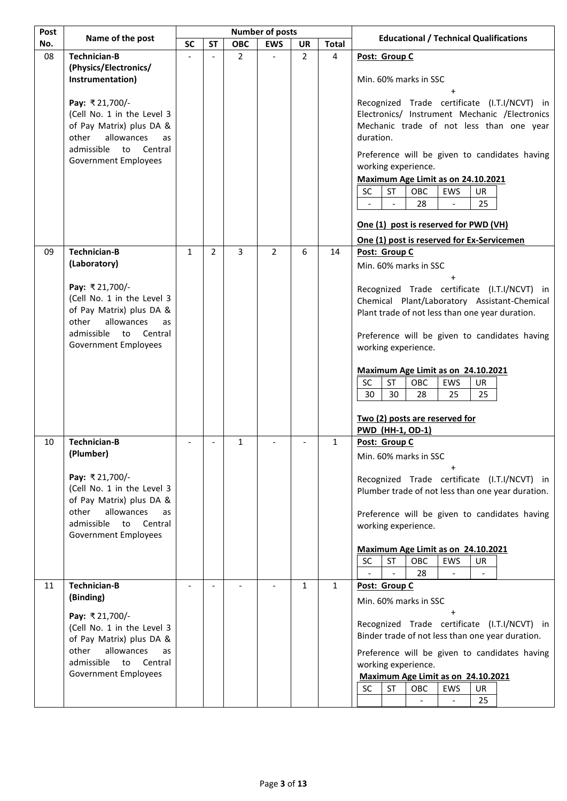| Post | Name of the post                                         | <b>Number of posts</b> |                |                | <b>Educational / Technical Qualifications</b> |                |              |                                                                                                 |
|------|----------------------------------------------------------|------------------------|----------------|----------------|-----------------------------------------------|----------------|--------------|-------------------------------------------------------------------------------------------------|
| No.  |                                                          | <b>SC</b>              | <b>ST</b>      | <b>OBC</b>     | <b>EWS</b>                                    | <b>UR</b>      | <b>Total</b> |                                                                                                 |
| 08   | <b>Technician-B</b>                                      |                        | $\overline{a}$ | $\overline{2}$ |                                               | $\overline{2}$ | 4            | Post: Group C                                                                                   |
|      | (Physics/Electronics/                                    |                        |                |                |                                               |                |              |                                                                                                 |
|      | Instrumentation)                                         |                        |                |                |                                               |                |              | Min. 60% marks in SSC                                                                           |
|      | Pay: ₹21,700/-                                           |                        |                |                |                                               |                |              | Recognized Trade certificate (I.T.I/NCVT) in                                                    |
|      | (Cell No. 1 in the Level 3                               |                        |                |                |                                               |                |              | Electronics/ Instrument Mechanic /Electronics                                                   |
|      | of Pay Matrix) plus DA &                                 |                        |                |                |                                               |                |              | Mechanic trade of not less than one year                                                        |
|      | other<br>allowances<br>as                                |                        |                |                |                                               |                |              | duration.                                                                                       |
|      | admissible<br>to<br>Central                              |                        |                |                |                                               |                |              | Preference will be given to candidates having                                                   |
|      | <b>Government Employees</b>                              |                        |                |                |                                               |                |              | working experience.                                                                             |
|      |                                                          |                        |                |                |                                               |                |              | Maximum Age Limit as on 24.10.2021                                                              |
|      |                                                          |                        |                |                |                                               |                |              | SC<br><b>ST</b><br>OBC<br>EWS<br><b>UR</b>                                                      |
|      |                                                          |                        |                |                |                                               |                |              | 25<br>28<br>$\overline{a}$<br>$\overline{\phantom{a}}$                                          |
|      |                                                          |                        |                |                |                                               |                |              |                                                                                                 |
|      |                                                          |                        |                |                |                                               |                |              | One (1) post is reserved for PWD (VH)                                                           |
|      |                                                          |                        |                |                |                                               |                |              | One (1) post is reserved for Ex-Servicemen                                                      |
| 09   | <b>Technician-B</b>                                      | $\mathbf{1}$           | $\overline{2}$ | 3              | $\overline{2}$                                | 6              | 14           | Post: Group C                                                                                   |
|      | (Laboratory)                                             |                        |                |                |                                               |                |              | Min. 60% marks in SSC                                                                           |
|      | Pay: ₹21,700/-                                           |                        |                |                |                                               |                |              |                                                                                                 |
|      | (Cell No. 1 in the Level 3                               |                        |                |                |                                               |                |              | Recognized Trade certificate (I.T.I/NCVT) in                                                    |
|      | of Pay Matrix) plus DA &                                 |                        |                |                |                                               |                |              | Chemical Plant/Laboratory Assistant-Chemical<br>Plant trade of not less than one year duration. |
|      | other<br>allowances<br>as                                |                        |                |                |                                               |                |              |                                                                                                 |
|      | admissible<br>to<br>Central                              |                        |                |                |                                               |                |              | Preference will be given to candidates having                                                   |
|      | <b>Government Employees</b>                              |                        |                |                |                                               |                |              | working experience.                                                                             |
|      |                                                          |                        |                |                |                                               |                |              |                                                                                                 |
|      |                                                          |                        |                |                |                                               |                |              | Maximum Age Limit as on 24.10.2021                                                              |
|      |                                                          |                        |                |                |                                               |                |              | SC<br>ST<br>OBC<br>EWS<br>UR                                                                    |
|      |                                                          |                        |                |                |                                               |                |              | 30<br>30<br>28<br>25<br>25                                                                      |
|      |                                                          |                        |                |                |                                               |                |              | Two (2) posts are reserved for                                                                  |
|      |                                                          |                        |                |                |                                               |                |              | <b>PWD (HH-1, OD-1)</b>                                                                         |
| 10   | Technician-B                                             |                        |                | $\mathbf{1}$   |                                               |                | $\mathbf{1}$ | Post: Group C                                                                                   |
|      | (Plumber)                                                |                        |                |                |                                               |                |              | Min. 60% marks in SSC                                                                           |
|      |                                                          |                        |                |                |                                               |                |              |                                                                                                 |
|      | Pay: ₹21,700/-                                           |                        |                |                |                                               |                |              | Recognized Trade certificate (I.T.I/NCVT) in                                                    |
|      | (Cell No. 1 in the Level 3                               |                        |                |                |                                               |                |              | Plumber trade of not less than one year duration.                                               |
|      | of Pay Matrix) plus DA &                                 |                        |                |                |                                               |                |              |                                                                                                 |
|      | other<br>allowances<br>as<br>admissible<br>to<br>Central |                        |                |                |                                               |                |              | Preference will be given to candidates having                                                   |
|      | <b>Government Employees</b>                              |                        |                |                |                                               |                |              | working experience.                                                                             |
|      |                                                          |                        |                |                |                                               |                |              | Maximum Age Limit as on 24.10.2021                                                              |
|      |                                                          |                        |                |                |                                               |                |              | <b>SC</b><br><b>ST</b><br>OBC<br>EWS<br>UR.                                                     |
|      |                                                          |                        |                |                |                                               |                |              | 28                                                                                              |
| 11   | <b>Technician-B</b>                                      |                        | $\overline{a}$ |                |                                               | $\mathbf{1}$   | $\mathbf{1}$ | Post: Group C                                                                                   |
|      | (Binding)                                                |                        |                |                |                                               |                |              | Min. 60% marks in SSC                                                                           |
|      | Pay: ₹21,700/-                                           |                        |                |                |                                               |                |              |                                                                                                 |
|      | (Cell No. 1 in the Level 3                               |                        |                |                |                                               |                |              | Recognized Trade certificate (I.T.I/NCVT) in                                                    |
|      | of Pay Matrix) plus DA &                                 |                        |                |                |                                               |                |              | Binder trade of not less than one year duration.                                                |
|      | other<br>allowances<br>as                                |                        |                |                |                                               |                |              | Preference will be given to candidates having                                                   |
|      | admissible<br>to<br>Central                              |                        |                |                |                                               |                |              | working experience.                                                                             |
|      | <b>Government Employees</b>                              |                        |                |                |                                               |                |              | Maximum Age Limit as on 24.10.2021                                                              |
|      |                                                          |                        |                |                |                                               |                |              | <b>SC</b><br>OBC<br><b>UR</b><br>ST<br><b>EWS</b>                                               |
|      |                                                          |                        |                |                |                                               |                |              | 25<br>$\overline{\phantom{a}}$                                                                  |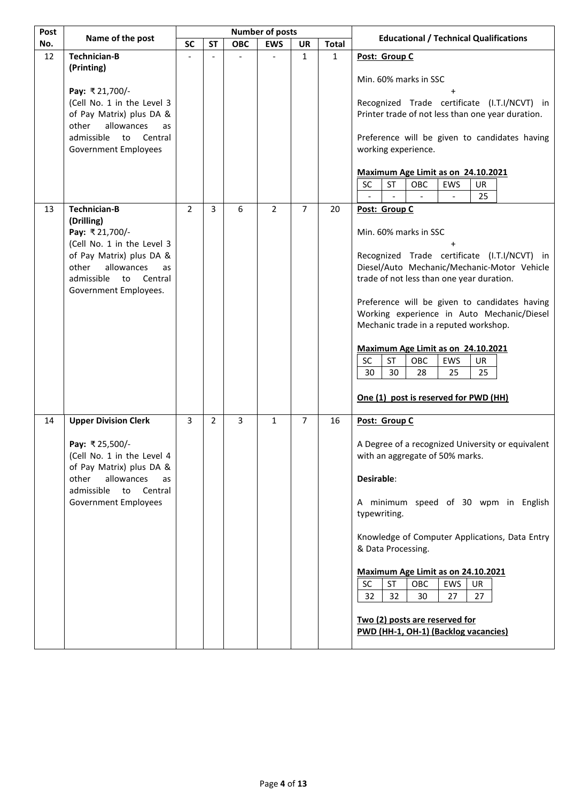| Post | Name of the post                                                                                                                                                                                   |                |                |            | <b>Number of posts</b> |                |              | <b>Educational / Technical Qualifications</b>                                                                                                                                                                                                                                                                                                                                                                                                                                  |  |
|------|----------------------------------------------------------------------------------------------------------------------------------------------------------------------------------------------------|----------------|----------------|------------|------------------------|----------------|--------------|--------------------------------------------------------------------------------------------------------------------------------------------------------------------------------------------------------------------------------------------------------------------------------------------------------------------------------------------------------------------------------------------------------------------------------------------------------------------------------|--|
| No.  |                                                                                                                                                                                                    | <b>SC</b>      | <b>ST</b>      | <b>OBC</b> | <b>EWS</b>             | <b>UR</b>      | <b>Total</b> |                                                                                                                                                                                                                                                                                                                                                                                                                                                                                |  |
| 12   | <b>Technician-B</b><br>(Printing)                                                                                                                                                                  |                |                |            |                        | $\mathbf{1}$   | $\mathbf{1}$ | Post: Group C<br>Min. 60% marks in SSC                                                                                                                                                                                                                                                                                                                                                                                                                                         |  |
|      | Pay: ₹21,700/-<br>(Cell No. 1 in the Level 3<br>of Pay Matrix) plus DA &<br>allowances<br>other<br>as<br>admissible<br>to<br>Central<br><b>Government Employees</b>                                |                |                |            |                        |                |              | Recognized Trade certificate (I.T.I/NCVT) in<br>Printer trade of not less than one year duration.<br>Preference will be given to candidates having<br>working experience.<br>Maximum Age Limit as on 24.10.2021<br>OBC<br><b>SC</b><br><b>ST</b><br>EWS<br>UR                                                                                                                                                                                                                  |  |
|      |                                                                                                                                                                                                    |                |                |            |                        |                |              | 25                                                                                                                                                                                                                                                                                                                                                                                                                                                                             |  |
| 13   | <b>Technician-B</b><br>(Drilling)<br>Pay: ₹21,700/-<br>(Cell No. 1 in the Level 3<br>of Pay Matrix) plus DA &<br>other<br>allowances<br>as<br>admissible<br>Central<br>to<br>Government Employees. | $\overline{2}$ | 3              | 6          | $\overline{2}$         | $\overline{7}$ | 20           | Post: Group C<br>Min. 60% marks in SSC<br>Recognized Trade certificate (I.T.I/NCVT) in<br>Diesel/Auto Mechanic/Mechanic-Motor Vehicle<br>trade of not less than one year duration.<br>Preference will be given to candidates having<br>Working experience in Auto Mechanic/Diesel<br>Mechanic trade in a reputed workshop.<br>Maximum Age Limit as on 24.10.2021<br>SC<br><b>ST</b><br>OBC<br>EWS<br>UR<br>30<br>30<br>28<br>25<br>25<br>One (1) post is reserved for PWD (HH) |  |
| 14   | <b>Upper Division Clerk</b><br>Pay: ₹25,500/-<br>(Cell No. 1 in the Level 4<br>of Pay Matrix) plus DA &<br>other<br>allowances<br>as<br>admissible<br>to<br>Central<br><b>Government Employees</b> | 3              | $\overline{2}$ | 3          | $\mathbf{1}$           | $\overline{7}$ | 16           | Post: Group C<br>A Degree of a recognized University or equivalent<br>with an aggregate of 50% marks.<br>Desirable:<br>A minimum speed of 30 wpm in English<br>typewriting.<br>Knowledge of Computer Applications, Data Entry<br>& Data Processing.<br>Maximum Age Limit as on 24.10.2021<br><b>SC</b><br><b>ST</b><br>OBC<br>EWS<br>UR<br>32<br>32<br>30<br>27<br>27<br>Two (2) posts are reserved for<br>PWD (HH-1, OH-1) (Backlog vacancies)                                |  |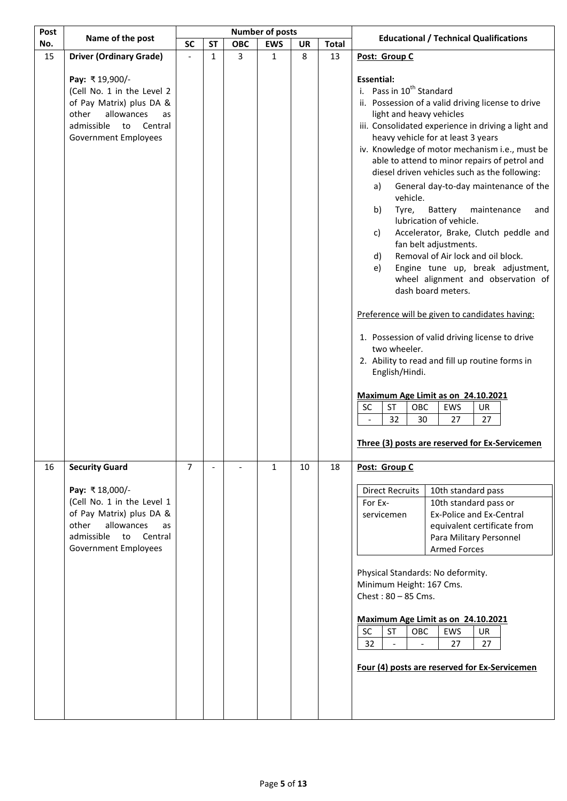| Post | Name of the post                                                                                                                                                                             | <b>Number of posts</b> |              |            | <b>Educational / Technical Qualifications</b> |    |              |                                                                                                                                                                                                                                                                                                                                                                                                                                                                                                                                                                                                                                                                                                                                                                                                                                                                                                                                                                                                                                                                                                                                                   |
|------|----------------------------------------------------------------------------------------------------------------------------------------------------------------------------------------------|------------------------|--------------|------------|-----------------------------------------------|----|--------------|---------------------------------------------------------------------------------------------------------------------------------------------------------------------------------------------------------------------------------------------------------------------------------------------------------------------------------------------------------------------------------------------------------------------------------------------------------------------------------------------------------------------------------------------------------------------------------------------------------------------------------------------------------------------------------------------------------------------------------------------------------------------------------------------------------------------------------------------------------------------------------------------------------------------------------------------------------------------------------------------------------------------------------------------------------------------------------------------------------------------------------------------------|
| No.  |                                                                                                                                                                                              | <b>SC</b>              | <b>ST</b>    | <b>OBC</b> | <b>EWS</b>                                    | UR | <b>Total</b> |                                                                                                                                                                                                                                                                                                                                                                                                                                                                                                                                                                                                                                                                                                                                                                                                                                                                                                                                                                                                                                                                                                                                                   |
| 15   | <b>Driver (Ordinary Grade)</b>                                                                                                                                                               |                        | $\mathbf{1}$ | 3          | 1                                             | 8  | 13           | Post: Group C                                                                                                                                                                                                                                                                                                                                                                                                                                                                                                                                                                                                                                                                                                                                                                                                                                                                                                                                                                                                                                                                                                                                     |
|      | Pay: ₹19,900/-<br>(Cell No. 1 in the Level 2<br>of Pay Matrix) plus DA &<br>allowances<br>other<br>as<br>admissible<br>to<br>Central<br><b>Government Employees</b>                          |                        |              |            |                                               |    |              | <b>Essential:</b><br>i. Pass in 10 <sup>th</sup> Standard<br>ii. Possession of a valid driving license to drive<br>light and heavy vehicles<br>iii. Consolidated experience in driving a light and<br>heavy vehicle for at least 3 years<br>iv. Knowledge of motor mechanism i.e., must be<br>able to attend to minor repairs of petrol and<br>diesel driven vehicles such as the following:<br>General day-to-day maintenance of the<br>a)<br>vehicle.<br>maintenance<br>b)<br>Tyre,<br>Battery<br>and<br>lubrication of vehicle.<br>Accelerator, Brake, Clutch peddle and<br>c)<br>fan belt adjustments.<br>Removal of Air lock and oil block.<br>d)<br>Engine tune up, break adjustment,<br>e)<br>wheel alignment and observation of<br>dash board meters.<br>Preference will be given to candidates having:<br>1. Possession of valid driving license to drive<br>two wheeler.<br>2. Ability to read and fill up routine forms in<br>English/Hindi.<br>Maximum Age Limit as on 24.10.2021<br>SC<br><b>ST</b><br>OBC<br>EWS<br><b>UR</b><br>32<br>30<br>27<br>27<br>$\overline{\phantom{a}}$<br>Three (3) posts are reserved for Ex-Servicemen |
| 16   | <b>Security Guard</b><br>Pay: ₹18,000/-<br>(Cell No. 1 in the Level 1<br>of Pay Matrix) plus DA &<br>other<br>allowances<br>as<br>admissible<br>to<br>Central<br><b>Government Employees</b> | 7                      |              |            | 1                                             | 10 | 18           | Post: Group C<br><b>Direct Recruits</b><br>10th standard pass<br>10th standard pass or<br>For Ex-<br><b>Ex-Police and Ex-Central</b><br>servicemen<br>equivalent certificate from<br>Para Military Personnel<br><b>Armed Forces</b><br>Physical Standards: No deformity.<br>Minimum Height: 167 Cms.<br>Chest: $80 - 85$ Cms.<br>Maximum Age Limit as on 24.10.2021<br>SC<br>OBC<br>EWS<br>ST<br>UR<br>32<br>27<br>27<br>Four (4) posts are reserved for Ex-Servicemen                                                                                                                                                                                                                                                                                                                                                                                                                                                                                                                                                                                                                                                                            |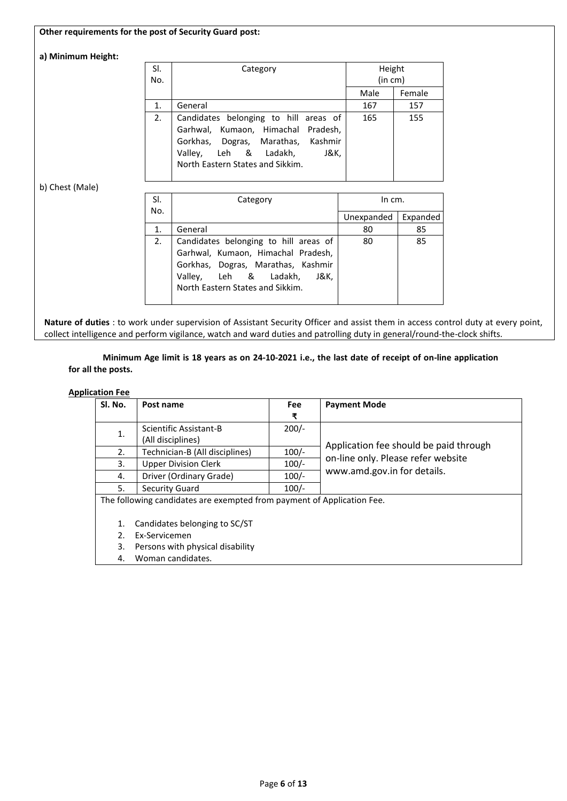## **Other requirements for the post of Security Guard post:**

## **a) Minimum Height:**

| SI.<br>No. | Category                                                                                                                                                                               | Height<br>(in cm) |        |  |
|------------|----------------------------------------------------------------------------------------------------------------------------------------------------------------------------------------|-------------------|--------|--|
|            |                                                                                                                                                                                        | Male              | Female |  |
| 1.         | General                                                                                                                                                                                | 167               | 157    |  |
| 2.         | Candidates belonging to hill areas of<br>Garhwal, Kumaon, Himachal Pradesh,<br>Gorkhas, Dogras, Marathas, Kashmir<br>Valley, Leh & Ladakh,<br>J&K,<br>North Eastern States and Sikkim. | 165               | 155    |  |

## b) Chest (Male)

| SI. | Category                              | In cm.     |          |  |
|-----|---------------------------------------|------------|----------|--|
| No. |                                       |            |          |  |
|     |                                       | Unexpanded | Expanded |  |
| 1.  | General                               | 80         | 85       |  |
| 2.  | Candidates belonging to hill areas of | 80         | 85       |  |
|     | Garhwal, Kumaon, Himachal Pradesh,    |            |          |  |
|     | Gorkhas, Dogras, Marathas, Kashmir    |            |          |  |
|     | Valley, Leh & Ladakh,<br>J&K.         |            |          |  |
|     | North Eastern States and Sikkim.      |            |          |  |
|     |                                       |            |          |  |

**Nature of duties** : to work under supervision of Assistant Security Officer and assist them in access control duty at every point, collect intelligence and perform vigilance, watch and ward duties and patrolling duty in general/round-the-clock shifts.

**Minimum Age limit is 18 years as on 24-10-2021 i.e., the last date of receipt of on-line application for all the posts.**

## **Application Fee**

| Sl. No. | Post name                                                              | <b>Fee</b> | <b>Payment Mode</b>                    |
|---------|------------------------------------------------------------------------|------------|----------------------------------------|
|         |                                                                        | ₹          |                                        |
|         | Scientific Assistant-B                                                 | $200/-$    |                                        |
| 1.      | (All disciplines)                                                      |            |                                        |
| 2.      | Technician-B (All disciplines)                                         | $100/-$    | Application fee should be paid through |
| 3.      | <b>Upper Division Clerk</b>                                            | $100/-$    | on-line only. Please refer website     |
| 4.      | Driver (Ordinary Grade)                                                | $100/-$    | www.amd.gov.in for details.            |
| 5.      | <b>Security Guard</b>                                                  | $100/-$    |                                        |
|         | The following candidates are exempted from payment of Application Fee. |            |                                        |
|         |                                                                        |            |                                        |
| 1.      | Candidates belonging to SC/ST                                          |            |                                        |
| 2.      | Ex-Servicemen                                                          |            |                                        |
| 3.      | Persons with physical disability                                       |            |                                        |

4. Woman candidates.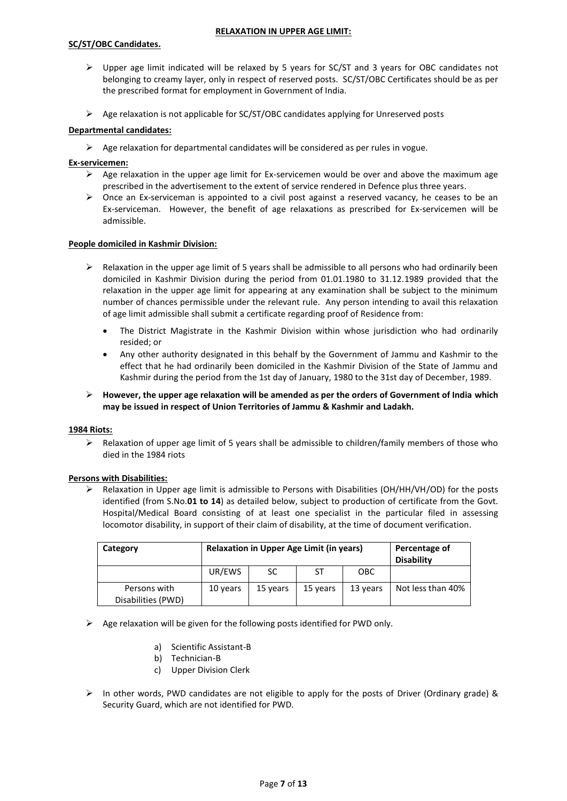# **SC/ST/OBC Candidates.**

#### **RELAXATION IN UPPER AGE LIMIT:**

- Upper age limit indicated will be relaxed by 5 years for SC/ST and 3 years for OBC candidates not belonging to creamy layer, only in respect of reserved posts. SC/ST/OBC Certificates should be as per the prescribed format for employment in Government of India.
- $\triangleright$  Age relaxation is not applicable for SC/ST/OBC candidates applying for Unreserved posts

## **Departmental candidates:**

 $\triangleright$  Age relaxation for departmental candidates will be considered as per rules in vogue.

### **Ex-servicemen:**

- $\triangleright$  Age relaxation in the upper age limit for Ex-servicemen would be over and above the maximum age prescribed in the advertisement to the extent of service rendered in Defence plus three years.
- $\triangleright$  Once an Ex-serviceman is appointed to a civil post against a reserved vacancy, he ceases to be an Ex-serviceman. However, the benefit of age relaxations as prescribed for Ex-servicemen will be admissible.

#### **People domiciled in Kashmir Division:**

- $\triangleright$  Relaxation in the upper age limit of 5 years shall be admissible to all persons who had ordinarily been domiciled in Kashmir Division during the period from 01.01.1980 to 31.12.1989 provided that the relaxation in the upper age limit for appearing at any examination shall be subject to the minimum number of chances permissible under the relevant rule. Any person intending to avail this relaxation of age limit admissible shall submit a certificate regarding proof of Residence from:
	- The District Magistrate in the Kashmir Division within whose jurisdiction who had ordinarily resided; or
	- Any other authority designated in this behalf by the Government of Jammu and Kashmir to the effect that he had ordinarily been domiciled in the Kashmir Division of the State of Jammu and Kashmir during the period from the 1st day of January, 1980 to the 31st day of December, 1989.
- **However, the upper age relaxation will be amended as per the orders of Government of India which may be issued in respect of Union Territories of Jammu & Kashmir and Ladakh.**

#### **1984 Riots:**

 $\triangleright$  Relaxation of upper age limit of 5 years shall be admissible to children/family members of those who died in the 1984 riots

#### **Persons with Disabilities:**

 $\triangleright$  Relaxation in Upper age limit is admissible to Persons with Disabilities (OH/HH/VH/OD) for the posts identified (from S.No.**01 to 14**) as detailed below, subject to production of certificate from the Govt. Hospital/Medical Board consisting of at least one specialist in the particular filed in assessing locomotor disability, in support of their claim of disability, at the time of document verification.

| Category                           | <b>Relaxation in Upper Age Limit (in years)</b> | Percentage of<br><b>Disability</b> |          |            |                   |
|------------------------------------|-------------------------------------------------|------------------------------------|----------|------------|-------------------|
|                                    | UR/EWS                                          | SC                                 | ST       | <b>OBC</b> |                   |
| Persons with<br>Disabilities (PWD) | 10 years                                        | 15 years                           | 15 years | 13 years   | Not less than 40% |

## $\triangleright$  Age relaxation will be given for the following posts identified for PWD only.

- a) Scientific Assistant-B
- b) Technician-B
- c) Upper Division Clerk
- $\triangleright$  In other words, PWD candidates are not eligible to apply for the posts of Driver (Ordinary grade) & Security Guard, which are not identified for PWD.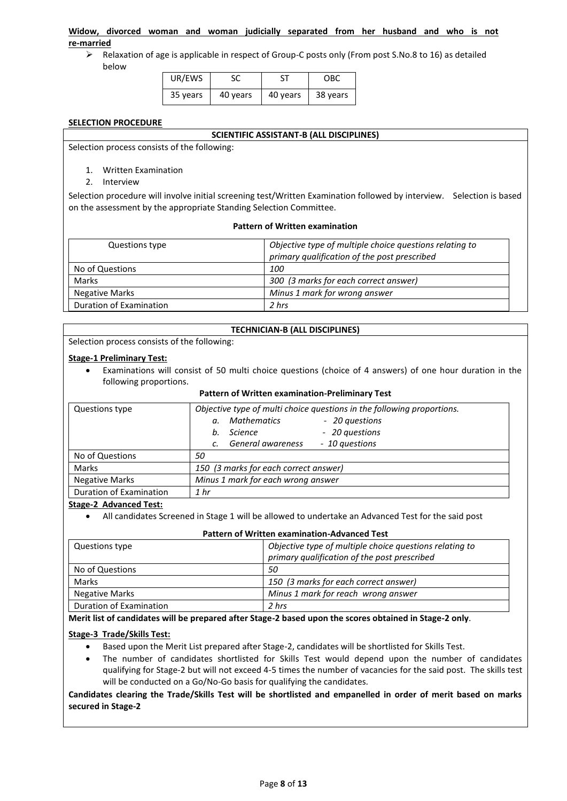## **Widow, divorced woman and woman judicially separated from her husband and who is not re-married**

 $\triangleright$  Relaxation of age is applicable in respect of Group-C posts only (From post S.No.8 to 16) as detailed below

| UR/EWS   |          |          | OBC      |
|----------|----------|----------|----------|
| 35 years | 40 years | 40 years | 38 years |

### **SELECTION PROCEDURE**

#### **SCIENTIFIC ASSISTANT-B (ALL DISCIPLINES)**

Selection process consists of the following:

- 1. Written Examination
- 2. Interview

Selection procedure will involve initial screening test/Written Examination followed by interview. Selection is based on the assessment by the appropriate Standing Selection Committee.

#### **Pattern of Written examination**

| Questions type          | Objective type of multiple choice questions relating to<br>primary qualification of the post prescribed |
|-------------------------|---------------------------------------------------------------------------------------------------------|
| No of Questions         | <i>100</i>                                                                                              |
| <b>Marks</b>            | 300 (3 marks for each correct answer)                                                                   |
| <b>Negative Marks</b>   | Minus 1 mark for wrong answer                                                                           |
| Duration of Examination | 2 hrs                                                                                                   |

## **TECHNICIAN-B (ALL DISCIPLINES)**

Selection process consists of the following:

#### **Stage-1 Preliminary Test:**

 Examinations will consist of 50 multi choice questions (choice of 4 answers) of one hour duration in the following proportions.

#### **Pattern of Written examination-Preliminary Test**

| Questions type          | Objective type of multi choice questions in the following proportions. |  |  |  |  |  |
|-------------------------|------------------------------------------------------------------------|--|--|--|--|--|
|                         | Mathematics<br>- 20 questions<br>α.                                    |  |  |  |  |  |
|                         | - 20 questions<br>Science<br>b.                                        |  |  |  |  |  |
|                         | General awareness<br>- 10 questions<br>C.                              |  |  |  |  |  |
| No of Questions         | 50                                                                     |  |  |  |  |  |
| Marks                   | 150 (3 marks for each correct answer)                                  |  |  |  |  |  |
| <b>Negative Marks</b>   | Minus 1 mark for each wrong answer                                     |  |  |  |  |  |
| Duration of Examination | 1 <sub>hr</sub>                                                        |  |  |  |  |  |

#### **Stage-2 Advanced Test:**

All candidates Screened in Stage 1 will be allowed to undertake an Advanced Test for the said post

| <b>Pattern of Written examination-Advanced Test</b> |                                                         |  |  |
|-----------------------------------------------------|---------------------------------------------------------|--|--|
| Questions type                                      | Objective type of multiple choice questions relating to |  |  |
|                                                     | primary qualification of the post prescribed            |  |  |

|                         | primary qualification of the post prescribed |
|-------------------------|----------------------------------------------|
| No of Questions         | 50                                           |
| Marks                   | 150 (3 marks for each correct answer)        |
| Negative Marks          | Minus 1 mark for reach wrong answer          |
| Duration of Examination | 2 hrs                                        |

## **Merit list of candidates will be prepared after Stage-2 based upon the scores obtained in Stage-2 only**.

## **Stage-3 Trade/Skills Test:**

- Based upon the Merit List prepared after Stage-2, candidates will be shortlisted for Skills Test.
- The number of candidates shortlisted for Skills Test would depend upon the number of candidates qualifying for Stage-2 but will not exceed 4-5 times the number of vacancies for the said post. The skills test will be conducted on a Go/No-Go basis for qualifying the candidates.

## **Candidates clearing the Trade/Skills Test will be shortlisted and empanelled in order of merit based on marks secured in Stage-2**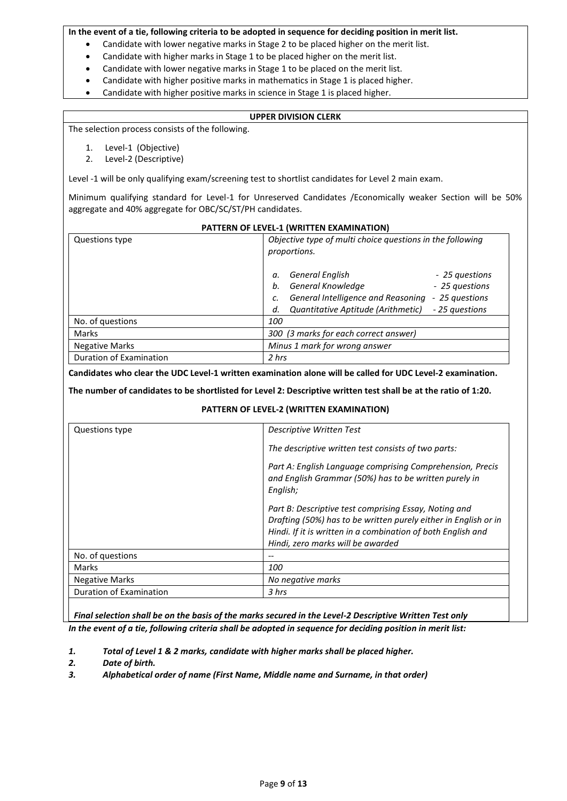## **In the event of a tie, following criteria to be adopted in sequence for deciding position in merit list.**

- Candidate with lower negative marks in Stage 2 to be placed higher on the merit list.
	- Candidate with higher marks in Stage 1 to be placed higher on the merit list.
	- Candidate with lower negative marks in Stage 1 to be placed on the merit list.
	- Candidate with higher positive marks in mathematics in Stage 1 is placed higher.
	- Candidate with higher positive marks in science in Stage 1 is placed higher.

## **UPPER DIVISION CLERK**

The selection process consists of the following.

- 1. Level-1 (Objective)
- 2. Level-2 (Descriptive)

Level -1 will be only qualifying exam/screening test to shortlist candidates for Level 2 main exam.

Minimum qualifying standard for Level-1 for Unreserved Candidates /Economically weaker Section will be 50% aggregate and 40% aggregate for OBC/SC/ST/PH candidates.

| PATTERN OF LEVEL-1 (WRITTEN EXAMINATION) |                                                                                             |  |  |  |
|------------------------------------------|---------------------------------------------------------------------------------------------|--|--|--|
| Questions type                           | Objective type of multi choice questions in the following<br>proportions.                   |  |  |  |
|                                          | <b>General English</b><br>- 25 questions<br>α.<br>General Knowledge<br>- 25 questions<br>b. |  |  |  |
|                                          | General Intelligence and Reasoning<br>- 25 questions                                        |  |  |  |
|                                          | Quantitative Aptitude (Arithmetic)<br>- 25 questions<br>d.                                  |  |  |  |
| No. of questions                         | 100                                                                                         |  |  |  |
| Marks                                    | 300 (3 marks for each correct answer)                                                       |  |  |  |
| <b>Negative Marks</b>                    | Minus 1 mark for wrong answer                                                               |  |  |  |
| Duration of Examination                  | 2 hrs                                                                                       |  |  |  |

**Candidates who clear the UDC Level-1 written examination alone will be called for UDC Level-2 examination.**

**The number of candidates to be shortlisted for Level 2: Descriptive written test shall be at the ratio of 1:20.**

## **PATTERN OF LEVEL-2 (WRITTEN EXAMINATION)**

| Questions type          | Descriptive Written Test                                                                                                                                                                                                      |
|-------------------------|-------------------------------------------------------------------------------------------------------------------------------------------------------------------------------------------------------------------------------|
|                         | The descriptive written test consists of two parts:                                                                                                                                                                           |
|                         | Part A: English Language comprising Comprehension, Precis<br>and English Grammar (50%) has to be written purely in<br>English;                                                                                                |
|                         | Part B: Descriptive test comprising Essay, Noting and<br>Drafting (50%) has to be written purely either in English or in<br>Hindi. If it is written in a combination of both English and<br>Hindi, zero marks will be awarded |
| No. of questions        |                                                                                                                                                                                                                               |
| Marks                   | 100                                                                                                                                                                                                                           |
| <b>Negative Marks</b>   | No negative marks                                                                                                                                                                                                             |
| Duration of Examination | 3 hrs                                                                                                                                                                                                                         |

*Final selection shall be on the basis of the marks secured in the Level-2 Descriptive Written Test only In the event of a tie, following criteria shall be adopted in sequence for deciding position in merit list:*

- *1. Total of Level 1 & 2 marks, candidate with higher marks shall be placed higher.*
- *2. Date of birth.*
- *3. Alphabetical order of name (First Name, Middle name and Surname, in that order)*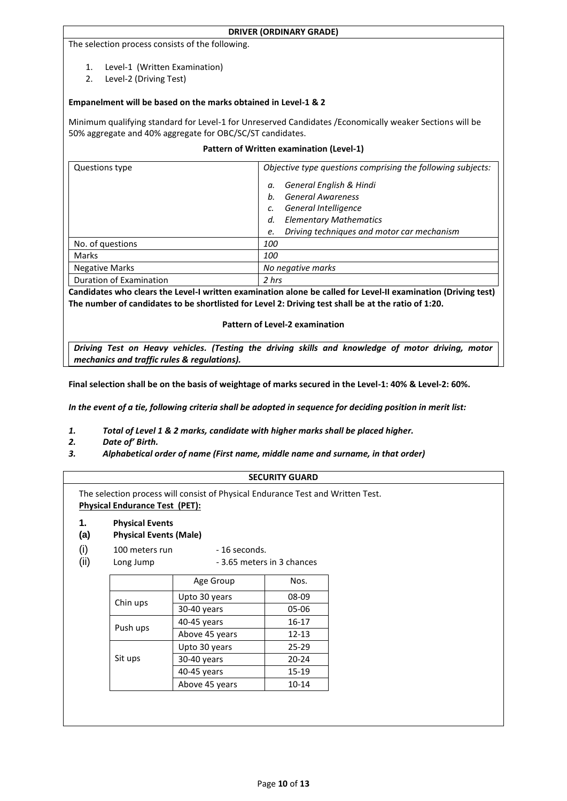#### **DRIVER (ORDINARY GRADE)**

#### The selection process consists of the following.

- 1. Level-1 (Written Examination)
- 2. Level-2 (Driving Test)

## **Empanelment will be based on the marks obtained in Level-1 & 2**

Minimum qualifying standard for Level-1 for Unreserved Candidates /Economically weaker Sections will be 50% aggregate and 40% aggregate for OBC/SC/ST candidates.

## **Pattern of Written examination (Level-1)**

| Questions type          | Objective type questions comprising the following subjects: |  |
|-------------------------|-------------------------------------------------------------|--|
|                         | <b>General English &amp; Hindi</b><br>а.                    |  |
|                         | <b>General Awareness</b><br>h.                              |  |
|                         | <b>General Intelligence</b>                                 |  |
|                         | <b>Elementary Mathematics</b><br>d.                         |  |
|                         | Driving techniques and motor car mechanism<br>e.            |  |
| No. of questions        | 100                                                         |  |
| <b>Marks</b>            | 100                                                         |  |
| <b>Negative Marks</b>   | No negative marks                                           |  |
| Duration of Examination | 2 hrs                                                       |  |

**Candidates who clears the Level-I written examination alone be called for Level-II examination (Driving test) The number of candidates to be shortlisted for Level 2: Driving test shall be at the ratio of 1:20.**

#### **Pattern of Level-2 examination**

*Driving Test on Heavy vehicles. (Testing the driving skills and knowledge of motor driving, motor mechanics and traffic rules & regulations).*

**Final selection shall be on the basis of weightage of marks secured in the Level-1: 40% & Level-2: 60%.**

*In the event of a tie, following criteria shall be adopted in sequence for deciding position in merit list:*

- *1. Total of Level 1 & 2 marks, candidate with higher marks shall be placed higher.*
- *2. Date of' Birth.*
- *3. Alphabetical order of name (First name, middle name and surname, in that order)*

## **SECURITY GUARD**

The selection process will consist of Physical Endurance Test and Written Test. **Physical Endurance Test (PET):** 

**1. Physical Events**

## **(a) Physical Events (Male)**

- $(i)$  100 meters run 16 seconds.
- (ii) Long Jump 3.65 meters in 3 chances

|          | Age Group      | Nos.      |
|----------|----------------|-----------|
| Chin ups | Upto 30 years  | 08-09     |
|          | 30-40 years    | 05-06     |
| Push ups | 40-45 years    | 16-17     |
|          | Above 45 years | $12 - 13$ |
|          | Upto 30 years  | $25 - 29$ |
| Sit ups  | 30-40 years    | $20 - 24$ |
|          | 40-45 years    | 15-19     |
|          | Above 45 years | 10-14     |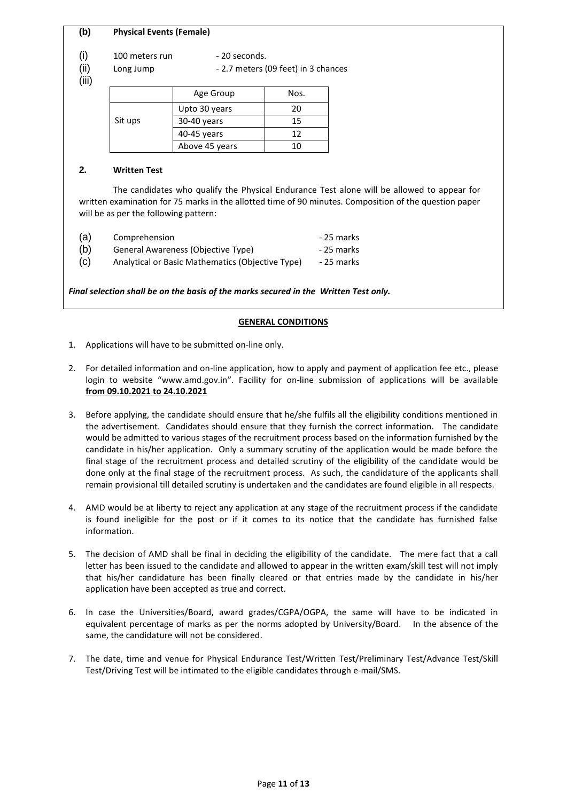## **(b) Physical Events (Female)**

 $(i)$  100 meters run - 20 seconds.

(ii) Long Jump - 2.7 meters (09 feet) in 3 chances

(iii)

|         | Age Group      | Nos. |
|---------|----------------|------|
|         | Upto 30 years  | 20   |
| Sit ups | $30-40$ years  | 15   |
|         | 40-45 years    | 12   |
|         | Above 45 years | 10   |

## **2. Written Test**

The candidates who qualify the Physical Endurance Test alone will be allowed to appear for written examination for 75 marks in the allotted time of 90 minutes. Composition of the question paper will be as per the following pattern:

| (a) | Comprehension                                    | - 25 marks |
|-----|--------------------------------------------------|------------|
| (b) | General Awareness (Objective Type)               | - 25 marks |
| (C) | Analytical or Basic Mathematics (Objective Type) | - 25 marks |

*Final selection shall be on the basis of the marks secured in the Written Test only.* 

## **GENERAL CONDITIONS**

- 1. Applications will have to be submitted on-line only.
- 2. For detailed information and on-line application, how to apply and payment of application fee etc., please login to website "www.amd.gov.in". Facility for on-line submission of applications will be available **from 09.10.2021 to 24.10.2021**
- 3. Before applying, the candidate should ensure that he/she fulfils all the eligibility conditions mentioned in the advertisement. Candidates should ensure that they furnish the correct information. The candidate would be admitted to various stages of the recruitment process based on the information furnished by the candidate in his/her application. Only a summary scrutiny of the application would be made before the final stage of the recruitment process and detailed scrutiny of the eligibility of the candidate would be done only at the final stage of the recruitment process. As such, the candidature of the applicants shall remain provisional till detailed scrutiny is undertaken and the candidates are found eligible in all respects.
- 4. AMD would be at liberty to reject any application at any stage of the recruitment process if the candidate is found ineligible for the post or if it comes to its notice that the candidate has furnished false information.
- 5. The decision of AMD shall be final in deciding the eligibility of the candidate. The mere fact that a call letter has been issued to the candidate and allowed to appear in the written exam/skill test will not imply that his/her candidature has been finally cleared or that entries made by the candidate in his/her application have been accepted as true and correct.
- 6. In case the Universities/Board, award grades/CGPA/OGPA, the same will have to be indicated in equivalent percentage of marks as per the norms adopted by University/Board. In the absence of the same, the candidature will not be considered.
- 7. The date, time and venue for Physical Endurance Test/Written Test/Preliminary Test/Advance Test/Skill Test/Driving Test will be intimated to the eligible candidates through e-mail/SMS.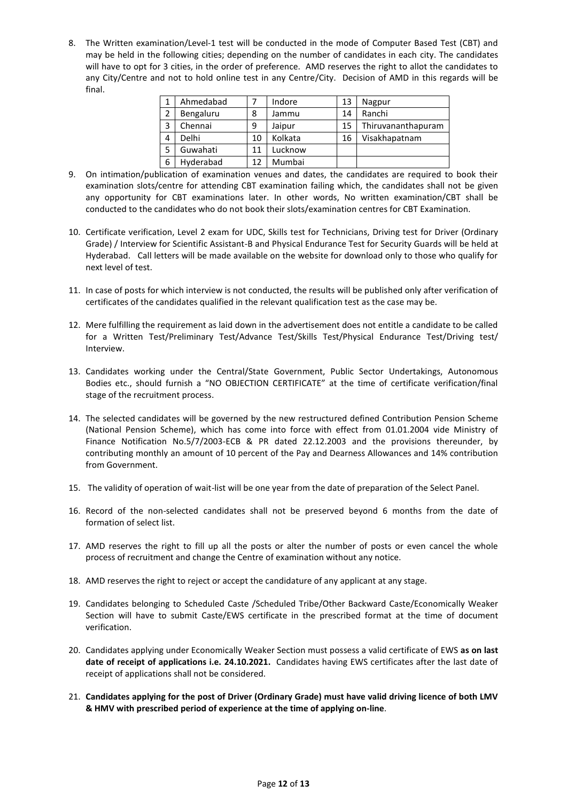8. The Written examination/Level-1 test will be conducted in the mode of Computer Based Test (CBT) and may be held in the following cities; depending on the number of candidates in each city. The candidates will have to opt for 3 cities, in the order of preference. AMD reserves the right to allot the candidates to any City/Centre and not to hold online test in any Centre/City. Decision of AMD in this regards will be final.

|   | Ahmedabad |    | Indore  | 13 | Nagpur             |
|---|-----------|----|---------|----|--------------------|
| 2 | Bengaluru | 8  | Jammu   | 14 | Ranchi             |
| 3 | Chennai   | 9  | Jaipur  | 15 | Thiruvananthapuram |
| 4 | Delhi     | 10 | Kolkata | 16 | Visakhapatnam      |
| 5 | Guwahati  | 11 | Lucknow |    |                    |
| 6 | Hyderabad | 12 | Mumbai  |    |                    |

- 9. On intimation/publication of examination venues and dates, the candidates are required to book their examination slots/centre for attending CBT examination failing which, the candidates shall not be given any opportunity for CBT examinations later. In other words, No written examination/CBT shall be conducted to the candidates who do not book their slots/examination centres for CBT Examination.
- 10. Certificate verification, Level 2 exam for UDC, Skills test for Technicians, Driving test for Driver (Ordinary Grade) / Interview for Scientific Assistant-B and Physical Endurance Test for Security Guards will be held at Hyderabad. Call letters will be made available on the website for download only to those who qualify for next level of test.
- 11. In case of posts for which interview is not conducted, the results will be published only after verification of certificates of the candidates qualified in the relevant qualification test as the case may be.
- 12. Mere fulfilling the requirement as laid down in the advertisement does not entitle a candidate to be called for a Written Test/Preliminary Test/Advance Test/Skills Test/Physical Endurance Test/Driving test/ Interview.
- 13. Candidates working under the Central/State Government, Public Sector Undertakings, Autonomous Bodies etc., should furnish a "NO OBJECTION CERTIFICATE" at the time of certificate verification/final stage of the recruitment process.
- 14. The selected candidates will be governed by the new restructured defined Contribution Pension Scheme (National Pension Scheme), which has come into force with effect from 01.01.2004 vide Ministry of Finance Notification No.5/7/2003-ECB & PR dated 22.12.2003 and the provisions thereunder, by contributing monthly an amount of 10 percent of the Pay and Dearness Allowances and 14% contribution from Government.
- 15. The validity of operation of wait-list will be one year from the date of preparation of the Select Panel.
- 16. Record of the non-selected candidates shall not be preserved beyond 6 months from the date of formation of select list.
- 17. AMD reserves the right to fill up all the posts or alter the number of posts or even cancel the whole process of recruitment and change the Centre of examination without any notice.
- 18. AMD reserves the right to reject or accept the candidature of any applicant at any stage.
- 19. Candidates belonging to Scheduled Caste /Scheduled Tribe/Other Backward Caste/Economically Weaker Section will have to submit Caste/EWS certificate in the prescribed format at the time of document verification.
- 20. Candidates applying under Economically Weaker Section must possess a valid certificate of EWS **as on last date of receipt of applications i.e. 24.10.2021.** Candidates having EWS certificates after the last date of receipt of applications shall not be considered.
- 21. **Candidates applying for the post of Driver (Ordinary Grade) must have valid driving licence of both LMV & HMV with prescribed period of experience at the time of applying on-line**.